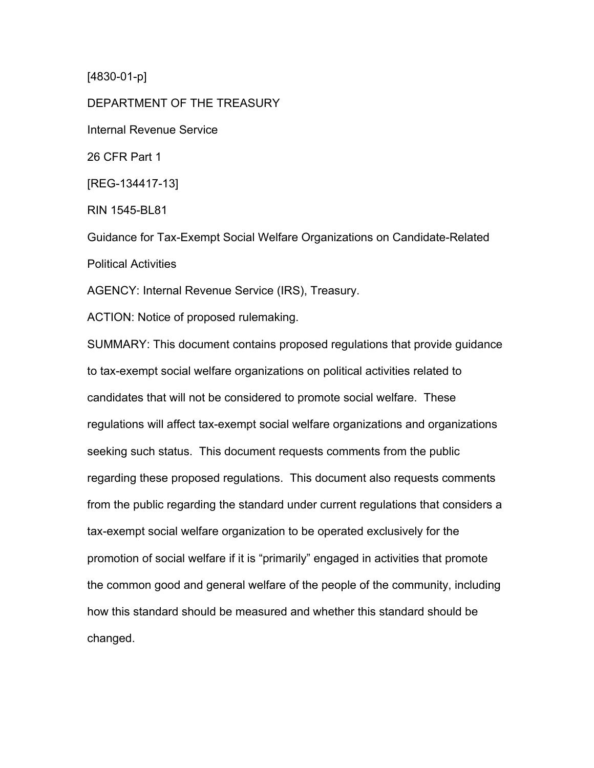[4830-01-p]

DEPARTMENT OF THE TREASURY Internal Revenue Service 26 CFR Part 1 [REG-134417-13] RIN 1545-BL81 Guidance for Tax-Exempt Social Welfare Organizations on Candidate-Related Political Activities AGENCY: Internal Revenue Service (IRS), Treasury.

ACTION: Notice of proposed rulemaking.

SUMMARY: This document contains proposed regulations that provide guidance to tax-exempt social welfare organizations on political activities related to candidates that will not be considered to promote social welfare. These regulations will affect tax-exempt social welfare organizations and organizations seeking such status. This document requests comments from the public regarding these proposed regulations. This document also requests comments from the public regarding the standard under current regulations that considers a tax-exempt social welfare organization to be operated exclusively for the promotion of social welfare if it is "primarily" engaged in activities that promote the common good and general welfare of the people of the community, including how this standard should be measured and whether this standard should be changed.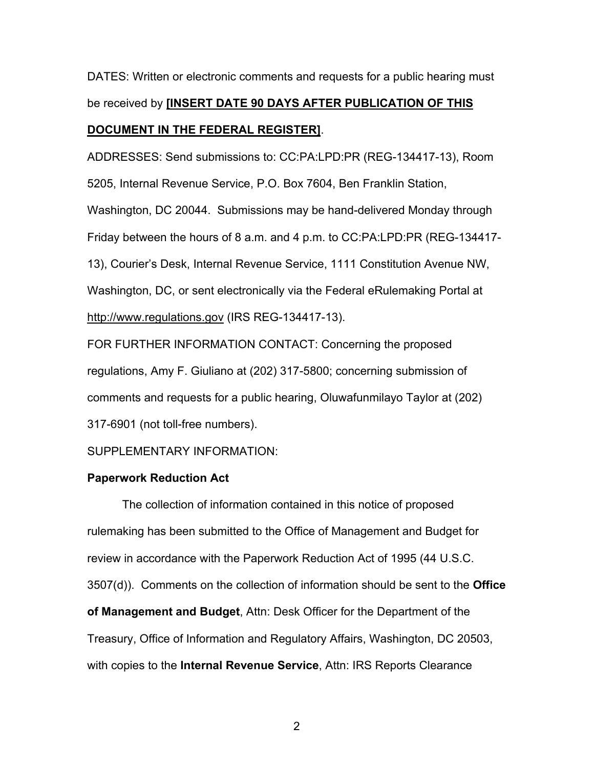DATES: Written or electronic comments and requests for a public hearing must be received by **[INSERT DATE 90 DAYS AFTER PUBLICATION OF THIS DOCUMENT IN THE FEDERAL REGISTER]**.

ADDRESSES: Send submissions to: CC:PA:LPD:PR (REG-134417-13), Room 5205, Internal Revenue Service, P.O. Box 7604, Ben Franklin Station, Washington, DC 20044. Submissions may be hand-delivered Monday through Friday between the hours of 8 a.m. and 4 p.m. to CC:PA:LPD:PR (REG-134417- 13), Courier's Desk, Internal Revenue Service, 1111 Constitution Avenue NW, Washington, DC, or sent electronically via the Federal eRulemaking Portal at http://www.regulations.gov (IRS REG-134417-13).

FOR FURTHER INFORMATION CONTACT: Concerning the proposed regulations, Amy F. Giuliano at (202) 317-5800; concerning submission of comments and requests for a public hearing, Oluwafunmilayo Taylor at (202) 317-6901 (not toll-free numbers).

SUPPLEMENTARY INFORMATION:

## **Paperwork Reduction Act**

The collection of information contained in this notice of proposed rulemaking has been submitted to the Office of Management and Budget for review in accordance with the Paperwork Reduction Act of 1995 (44 U.S.C. 3507(d)). Comments on the collection of information should be sent to the **Office of Management and Budget**, Attn: Desk Officer for the Department of the Treasury, Office of Information and Regulatory Affairs, Washington, DC 20503, with copies to the **Internal Revenue Service**, Attn: IRS Reports Clearance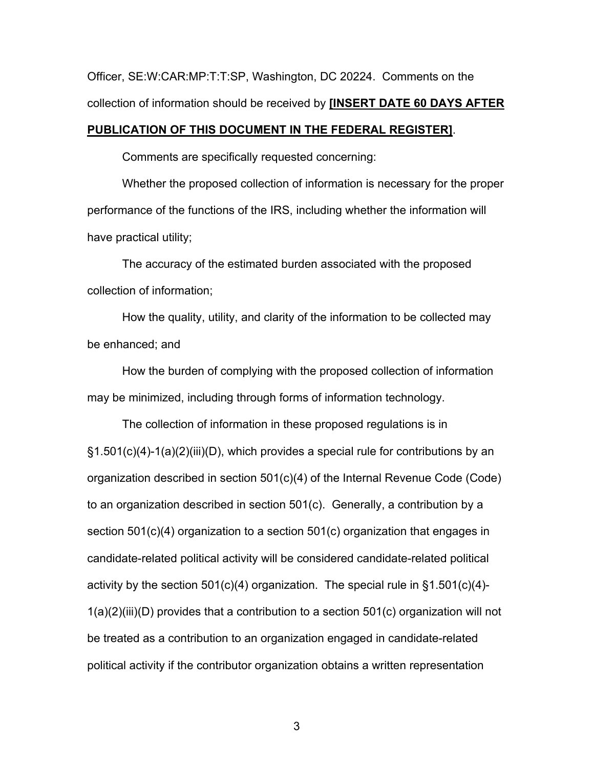Officer, SE:W:CAR:MP:T:T:SP, Washington, DC 20224. Comments on the collection of information should be received by **[INSERT DATE 60 DAYS AFTER** 

#### **PUBLICATION OF THIS DOCUMENT IN THE FEDERAL REGISTER]**.

Comments are specifically requested concerning:

Whether the proposed collection of information is necessary for the proper performance of the functions of the IRS, including whether the information will have practical utility;

The accuracy of the estimated burden associated with the proposed collection of information;

How the quality, utility, and clarity of the information to be collected may be enhanced; and

How the burden of complying with the proposed collection of information may be minimized, including through forms of information technology.

The collection of information in these proposed regulations is in §1.501(c)(4)-1(a)(2)(iii)(D), which provides a special rule for contributions by an organization described in section 501(c)(4) of the Internal Revenue Code (Code) to an organization described in section 501(c). Generally, a contribution by a section 501(c)(4) organization to a section 501(c) organization that engages in candidate-related political activity will be considered candidate-related political activity by the section  $501(c)(4)$  organization. The special rule in  $\S1.501(c)(4)$ -1(a)(2)(iii)(D) provides that a contribution to a section 501(c) organization will not be treated as a contribution to an organization engaged in candidate-related political activity if the contributor organization obtains a written representation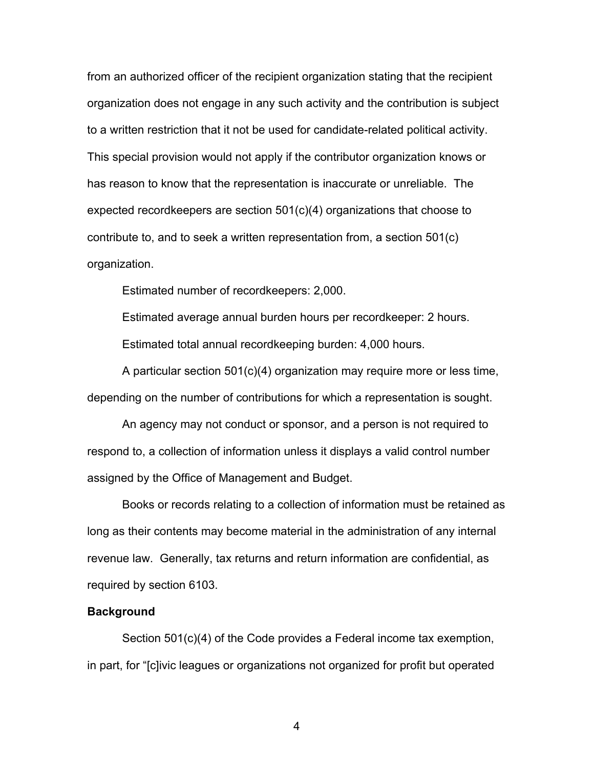from an authorized officer of the recipient organization stating that the recipient organization does not engage in any such activity and the contribution is subject to a written restriction that it not be used for candidate-related political activity. This special provision would not apply if the contributor organization knows or has reason to know that the representation is inaccurate or unreliable. The expected recordkeepers are section 501(c)(4) organizations that choose to contribute to, and to seek a written representation from, a section 501(c) organization.

Estimated number of recordkeepers: 2,000.

Estimated average annual burden hours per recordkeeper: 2 hours. Estimated total annual recordkeeping burden: 4,000 hours.

A particular section 501(c)(4) organization may require more or less time, depending on the number of contributions for which a representation is sought.

An agency may not conduct or sponsor, and a person is not required to respond to, a collection of information unless it displays a valid control number assigned by the Office of Management and Budget.

Books or records relating to a collection of information must be retained as long as their contents may become material in the administration of any internal revenue law. Generally, tax returns and return information are confidential, as required by section 6103.

#### **Background**

Section 501(c)(4) of the Code provides a Federal income tax exemption, in part, for "[c]ivic leagues or organizations not organized for profit but operated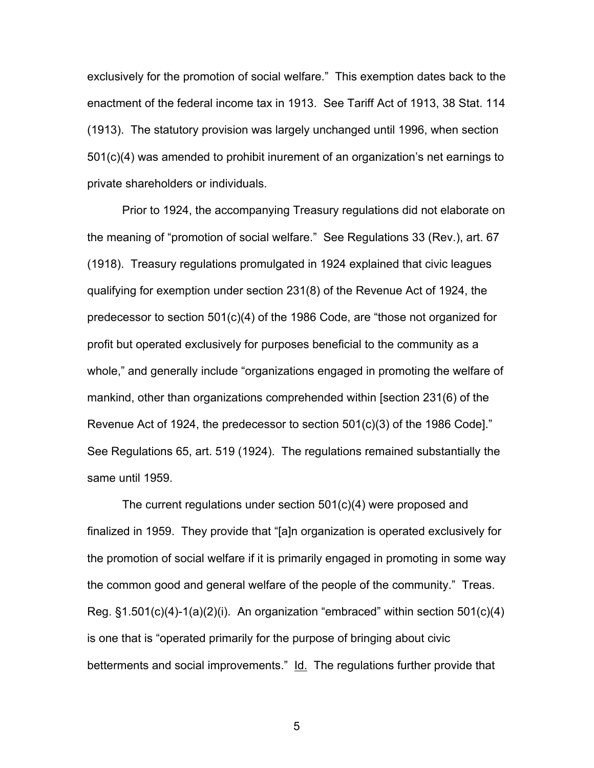exclusively for the promotion of social welfare." This exemption dates back to the enactment of the federal income tax in 1913. See Tariff Act of 1913, 38 Stat. 114 (1913). The statutory provision was largely unchanged until 1996, when section 501(c)(4) was amended to prohibit inurement of an organization's net earnings to private shareholders or individuals.

Prior to 1924, the accompanying Treasury regulations did not elaborate on the meaning of "promotion of social welfare." See Regulations 33 (Rev.), art. 67 (1918). Treasury regulations promulgated in 1924 explained that civic leagues qualifying for exemption under section 231(8) of the Revenue Act of 1924, the predecessor to section 501(c)(4) of the 1986 Code, are "those not organized for profit but operated exclusively for purposes beneficial to the community as a whole," and generally include "organizations engaged in promoting the welfare of mankind, other than organizations comprehended within [section 231(6) of the Revenue Act of 1924, the predecessor to section 501(c)(3) of the 1986 Code]." See Regulations 65, art. 519 (1924). The regulations remained substantially the same until 1959.

 The current regulations under section 501(c)(4) were proposed and finalized in 1959. They provide that "[a]n organization is operated exclusively for the promotion of social welfare if it is primarily engaged in promoting in some way the common good and general welfare of the people of the community." Treas. Reg. §1.501(c)(4)-1(a)(2)(i). An organization "embraced" within section 501(c)(4) is one that is "operated primarily for the purpose of bringing about civic betterments and social improvements." Id. The regulations further provide that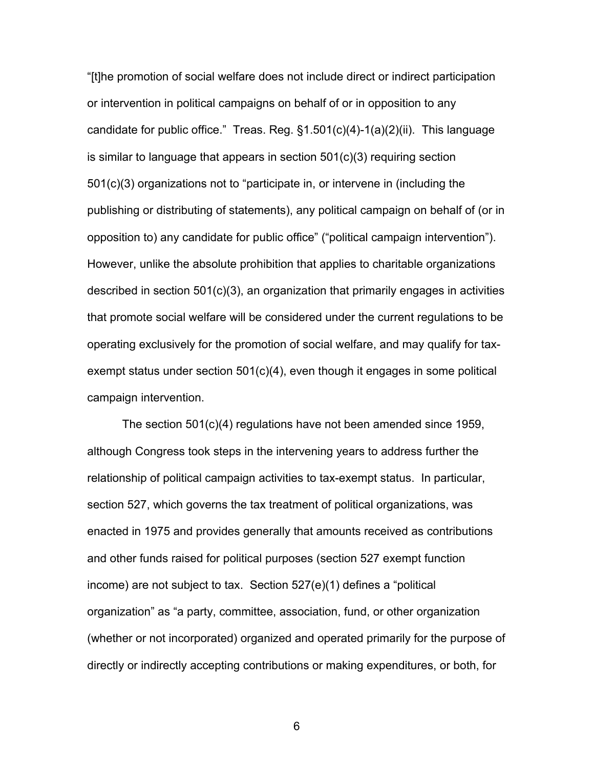"[t]he promotion of social welfare does not include direct or indirect participation or intervention in political campaigns on behalf of or in opposition to any candidate for public office." Treas. Reg. §1.501(c)(4)-1(a)(2)(ii). This language is similar to language that appears in section 501(c)(3) requiring section 501(c)(3) organizations not to "participate in, or intervene in (including the publishing or distributing of statements), any political campaign on behalf of (or in opposition to) any candidate for public office" ("political campaign intervention"). However, unlike the absolute prohibition that applies to charitable organizations described in section 501(c)(3), an organization that primarily engages in activities that promote social welfare will be considered under the current regulations to be operating exclusively for the promotion of social welfare, and may qualify for taxexempt status under section 501(c)(4), even though it engages in some political campaign intervention.

The section 501(c)(4) regulations have not been amended since 1959, although Congress took steps in the intervening years to address further the relationship of political campaign activities to tax-exempt status. In particular, section 527, which governs the tax treatment of political organizations, was enacted in 1975 and provides generally that amounts received as contributions and other funds raised for political purposes (section 527 exempt function income) are not subject to tax. Section 527(e)(1) defines a "political organization" as "a party, committee, association, fund, or other organization (whether or not incorporated) organized and operated primarily for the purpose of directly or indirectly accepting contributions or making expenditures, or both, for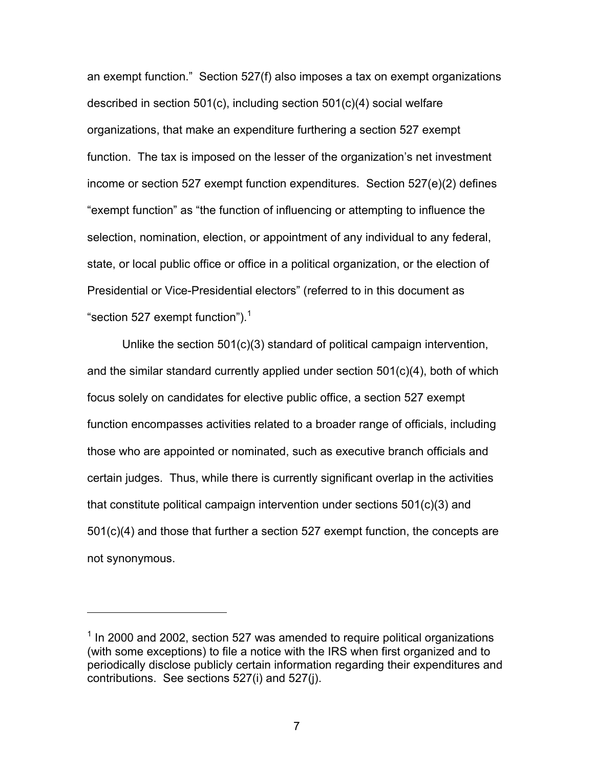an exempt function." Section 527(f) also imposes a tax on exempt organizations described in section 501(c), including section 501(c)(4) social welfare organizations, that make an expenditure furthering a section 527 exempt function. The tax is imposed on the lesser of the organization's net investment income or section 527 exempt function expenditures. Section 527(e)(2) defines "exempt function" as "the function of influencing or attempting to influence the selection, nomination, election, or appointment of any individual to any federal, state, or local public office or office in a political organization, or the election of Presidential or Vice-Presidential electors" (referred to in this document as "section 527 exempt function"). $1$ 

Unlike the section 501(c)(3) standard of political campaign intervention, and the similar standard currently applied under section 501(c)(4), both of which focus solely on candidates for elective public office, a section 527 exempt function encompasses activities related to a broader range of officials, including those who are appointed or nominated, such as executive branch officials and certain judges. Thus, while there is currently significant overlap in the activities that constitute political campaign intervention under sections 501(c)(3) and 501(c)(4) and those that further a section 527 exempt function, the concepts are not synonymous.

 $\overline{a}$ 

 $1$  In 2000 and 2002, section 527 was amended to require political organizations (with some exceptions) to file a notice with the IRS when first organized and to periodically disclose publicly certain information regarding their expenditures and contributions. See sections 527(i) and 527(j).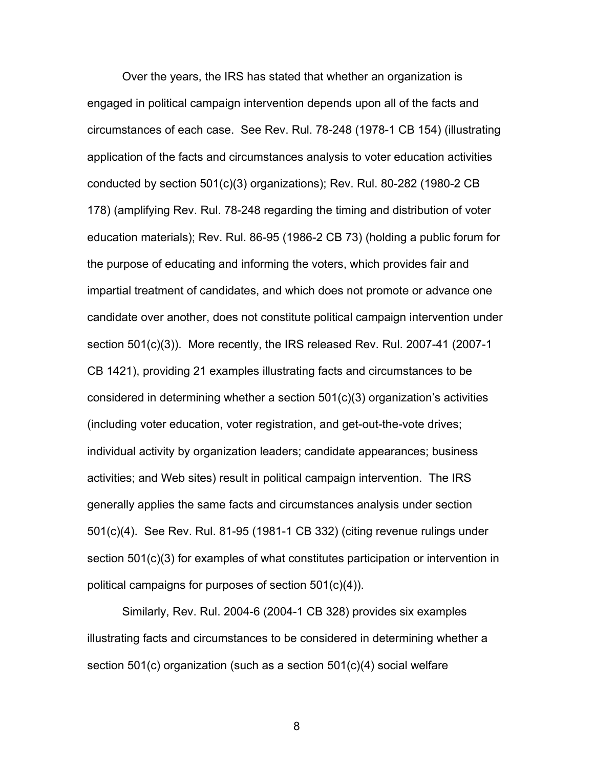Over the years, the IRS has stated that whether an organization is engaged in political campaign intervention depends upon all of the facts and circumstances of each case. See Rev. Rul. 78-248 (1978-1 CB 154) (illustrating application of the facts and circumstances analysis to voter education activities conducted by section 501(c)(3) organizations); Rev. Rul. 80-282 (1980-2 CB 178) (amplifying Rev. Rul. 78-248 regarding the timing and distribution of voter education materials); Rev. Rul. 86-95 (1986-2 CB 73) (holding a public forum for the purpose of educating and informing the voters, which provides fair and impartial treatment of candidates, and which does not promote or advance one candidate over another, does not constitute political campaign intervention under section 501(c)(3)). More recently, the IRS released Rev. Rul. 2007-41 (2007-1 CB 1421), providing 21 examples illustrating facts and circumstances to be considered in determining whether a section 501(c)(3) organization's activities (including voter education, voter registration, and get-out-the-vote drives; individual activity by organization leaders; candidate appearances; business activities; and Web sites) result in political campaign intervention. The IRS generally applies the same facts and circumstances analysis under section 501(c)(4). See Rev. Rul. 81-95 (1981-1 CB 332) (citing revenue rulings under section 501(c)(3) for examples of what constitutes participation or intervention in political campaigns for purposes of section 501(c)(4)).

Similarly, Rev. Rul. 2004-6 (2004-1 CB 328) provides six examples illustrating facts and circumstances to be considered in determining whether a section 501(c) organization (such as a section 501(c)(4) social welfare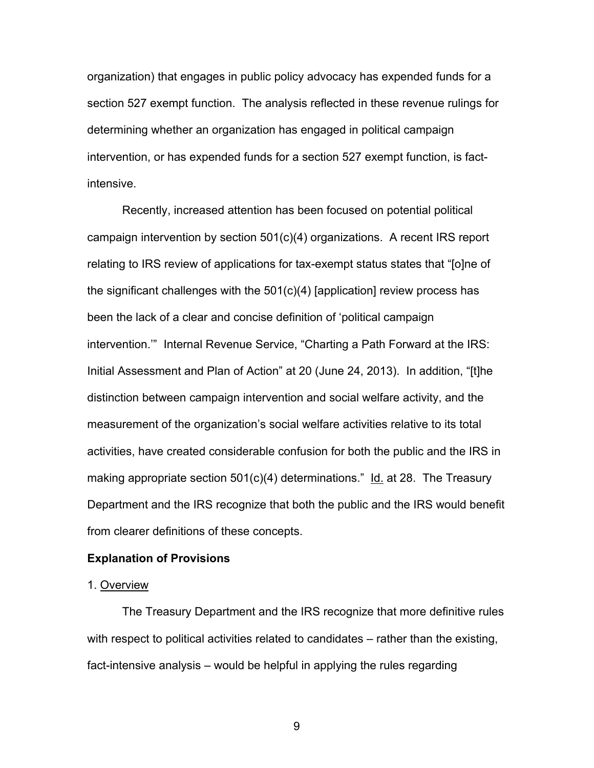organization) that engages in public policy advocacy has expended funds for a section 527 exempt function. The analysis reflected in these revenue rulings for determining whether an organization has engaged in political campaign intervention, or has expended funds for a section 527 exempt function, is factintensive.

Recently, increased attention has been focused on potential political campaign intervention by section 501(c)(4) organizations. A recent IRS report relating to IRS review of applications for tax-exempt status states that "[o]ne of the significant challenges with the 501(c)(4) [application] review process has been the lack of a clear and concise definition of 'political campaign intervention.'" Internal Revenue Service, "Charting a Path Forward at the IRS: Initial Assessment and Plan of Action" at 20 (June 24, 2013). In addition, "[t]he distinction between campaign intervention and social welfare activity, and the measurement of the organization's social welfare activities relative to its total activities, have created considerable confusion for both the public and the IRS in making appropriate section 501(c)(4) determinations." Id. at 28. The Treasury Department and the IRS recognize that both the public and the IRS would benefit from clearer definitions of these concepts.

#### **Explanation of Provisions**

### 1. Overview

The Treasury Department and the IRS recognize that more definitive rules with respect to political activities related to candidates – rather than the existing, fact-intensive analysis – would be helpful in applying the rules regarding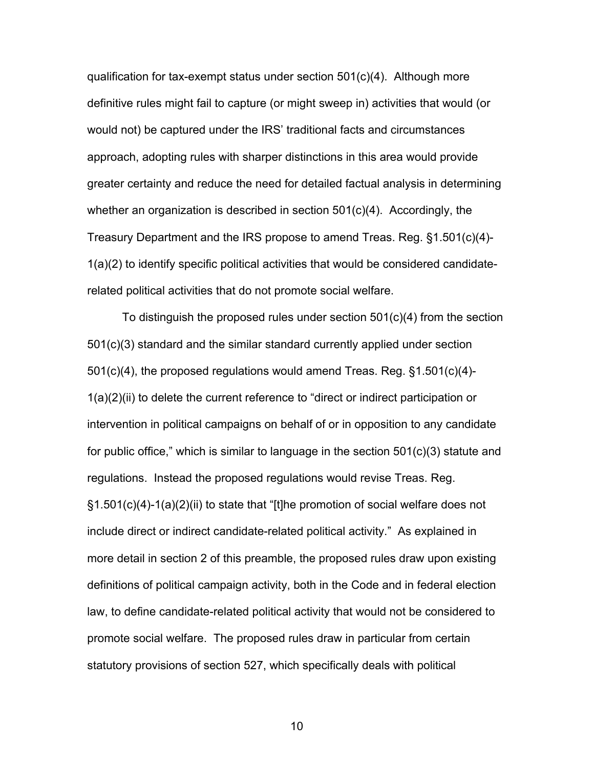qualification for tax-exempt status under section 501(c)(4). Although more definitive rules might fail to capture (or might sweep in) activities that would (or would not) be captured under the IRS' traditional facts and circumstances approach, adopting rules with sharper distinctions in this area would provide greater certainty and reduce the need for detailed factual analysis in determining whether an organization is described in section  $501(c)(4)$ . Accordingly, the Treasury Department and the IRS propose to amend Treas. Reg. §1.501(c)(4)- 1(a)(2) to identify specific political activities that would be considered candidaterelated political activities that do not promote social welfare.

To distinguish the proposed rules under section 501(c)(4) from the section 501(c)(3) standard and the similar standard currently applied under section 501(c)(4), the proposed regulations would amend Treas. Reg. §1.501(c)(4)- 1(a)(2)(ii) to delete the current reference to "direct or indirect participation or intervention in political campaigns on behalf of or in opposition to any candidate for public office," which is similar to language in the section 501(c)(3) statute and regulations. Instead the proposed regulations would revise Treas. Reg. §1.501(c)(4)-1(a)(2)(ii) to state that "[t]he promotion of social welfare does not include direct or indirect candidate-related political activity." As explained in more detail in section 2 of this preamble, the proposed rules draw upon existing definitions of political campaign activity, both in the Code and in federal election law, to define candidate-related political activity that would not be considered to promote social welfare. The proposed rules draw in particular from certain statutory provisions of section 527, which specifically deals with political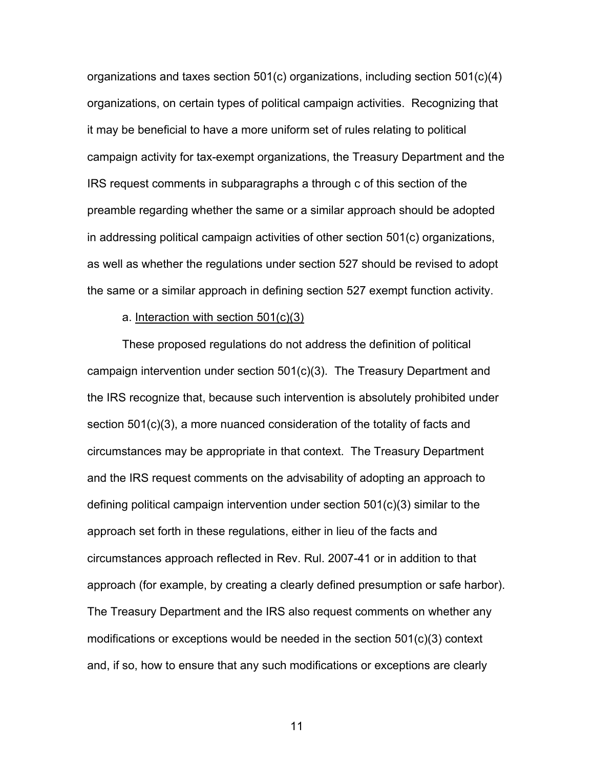organizations and taxes section 501(c) organizations, including section 501(c)(4) organizations, on certain types of political campaign activities. Recognizing that it may be beneficial to have a more uniform set of rules relating to political campaign activity for tax-exempt organizations, the Treasury Department and the IRS request comments in subparagraphs a through c of this section of the preamble regarding whether the same or a similar approach should be adopted in addressing political campaign activities of other section 501(c) organizations, as well as whether the regulations under section 527 should be revised to adopt the same or a similar approach in defining section 527 exempt function activity.

#### a. Interaction with section 501(c)(3)

These proposed regulations do not address the definition of political campaign intervention under section 501(c)(3). The Treasury Department and the IRS recognize that, because such intervention is absolutely prohibited under section 501(c)(3), a more nuanced consideration of the totality of facts and circumstances may be appropriate in that context. The Treasury Department and the IRS request comments on the advisability of adopting an approach to defining political campaign intervention under section 501(c)(3) similar to the approach set forth in these regulations, either in lieu of the facts and circumstances approach reflected in Rev. Rul. 2007-41 or in addition to that approach (for example, by creating a clearly defined presumption or safe harbor). The Treasury Department and the IRS also request comments on whether any modifications or exceptions would be needed in the section 501(c)(3) context and, if so, how to ensure that any such modifications or exceptions are clearly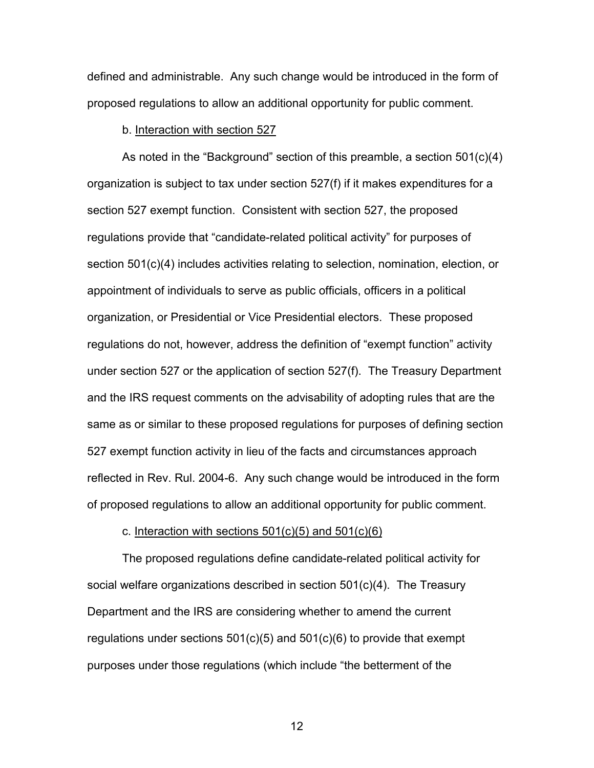defined and administrable. Any such change would be introduced in the form of proposed regulations to allow an additional opportunity for public comment.

#### b. Interaction with section 527

As noted in the "Background" section of this preamble, a section 501(c)(4) organization is subject to tax under section 527(f) if it makes expenditures for a section 527 exempt function. Consistent with section 527, the proposed regulations provide that "candidate-related political activity" for purposes of section 501(c)(4) includes activities relating to selection, nomination, election, or appointment of individuals to serve as public officials, officers in a political organization, or Presidential or Vice Presidential electors. These proposed regulations do not, however, address the definition of "exempt function" activity under section 527 or the application of section 527(f). The Treasury Department and the IRS request comments on the advisability of adopting rules that are the same as or similar to these proposed regulations for purposes of defining section 527 exempt function activity in lieu of the facts and circumstances approach reflected in Rev. Rul. 2004-6. Any such change would be introduced in the form of proposed regulations to allow an additional opportunity for public comment.

#### c. Interaction with sections  $501(c)(5)$  and  $501(c)(6)$

The proposed regulations define candidate-related political activity for social welfare organizations described in section 501(c)(4). The Treasury Department and the IRS are considering whether to amend the current regulations under sections 501(c)(5) and 501(c)(6) to provide that exempt purposes under those regulations (which include "the betterment of the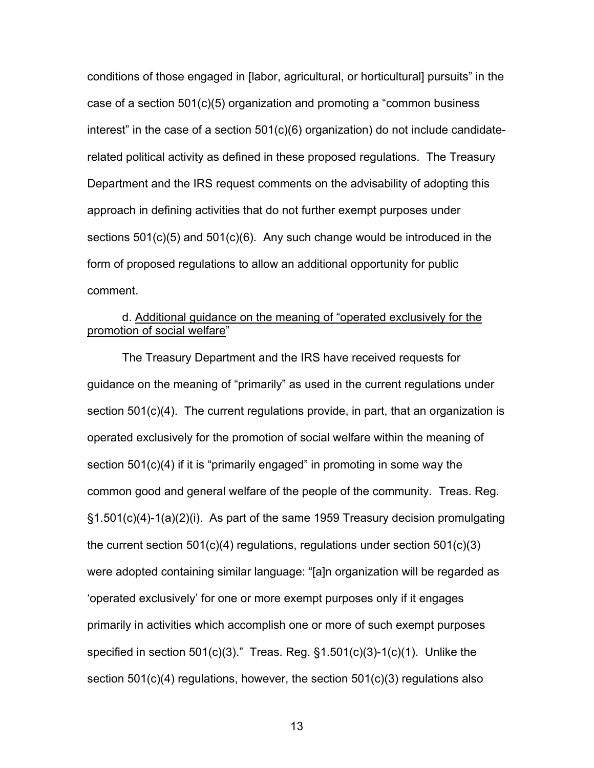conditions of those engaged in [labor, agricultural, or horticultural] pursuits" in the case of a section 501(c)(5) organization and promoting a "common business interest" in the case of a section  $501(c)(6)$  organization) do not include candidaterelated political activity as defined in these proposed regulations. The Treasury Department and the IRS request comments on the advisability of adopting this approach in defining activities that do not further exempt purposes under sections 501(c)(5) and 501(c)(6). Any such change would be introduced in the form of proposed regulations to allow an additional opportunity for public comment.

# d. Additional guidance on the meaning of "operated exclusively for the promotion of social welfare"

 The Treasury Department and the IRS have received requests for guidance on the meaning of "primarily" as used in the current regulations under section 501(c)(4). The current regulations provide, in part, that an organization is operated exclusively for the promotion of social welfare within the meaning of section 501(c)(4) if it is "primarily engaged" in promoting in some way the common good and general welfare of the people of the community. Treas. Reg. §1.501(c)(4)-1(a)(2)(i). As part of the same 1959 Treasury decision promulgating the current section  $501(c)(4)$  regulations, regulations under section  $501(c)(3)$ were adopted containing similar language: "[a]n organization will be regarded as 'operated exclusively' for one or more exempt purposes only if it engages primarily in activities which accomplish one or more of such exempt purposes specified in section  $501(c)(3)$ ." Treas. Reg.  $§1.501(c)(3)-1(c)(1)$ . Unlike the section 501(c)(4) regulations, however, the section 501(c)(3) regulations also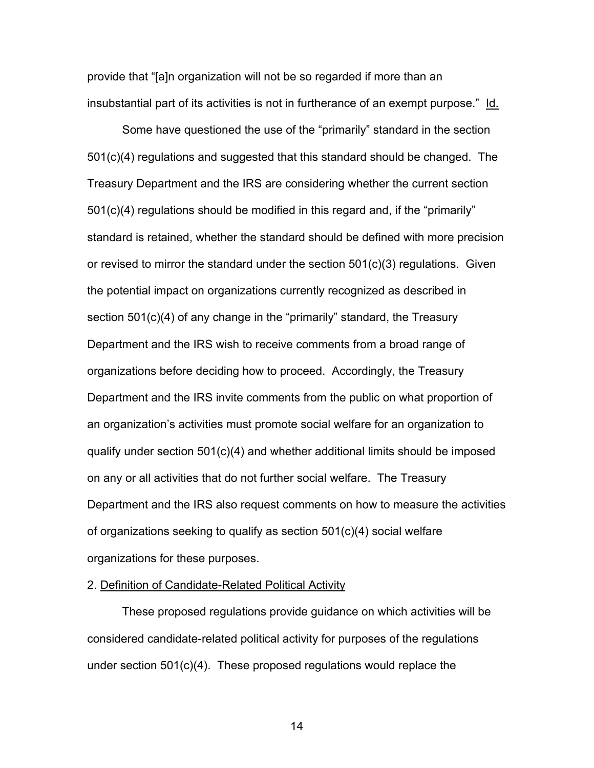provide that "[a]n organization will not be so regarded if more than an insubstantial part of its activities is not in furtherance of an exempt purpose." Id.

Some have questioned the use of the "primarily" standard in the section 501(c)(4) regulations and suggested that this standard should be changed. The Treasury Department and the IRS are considering whether the current section  $501(c)(4)$  regulations should be modified in this regard and, if the "primarily" standard is retained, whether the standard should be defined with more precision or revised to mirror the standard under the section 501(c)(3) regulations. Given the potential impact on organizations currently recognized as described in section 501(c)(4) of any change in the "primarily" standard, the Treasury Department and the IRS wish to receive comments from a broad range of organizations before deciding how to proceed. Accordingly, the Treasury Department and the IRS invite comments from the public on what proportion of an organization's activities must promote social welfare for an organization to qualify under section 501(c)(4) and whether additional limits should be imposed on any or all activities that do not further social welfare. The Treasury Department and the IRS also request comments on how to measure the activities of organizations seeking to qualify as section 501(c)(4) social welfare organizations for these purposes.

### 2. Definition of Candidate-Related Political Activity

These proposed regulations provide guidance on which activities will be considered candidate-related political activity for purposes of the regulations under section 501(c)(4). These proposed regulations would replace the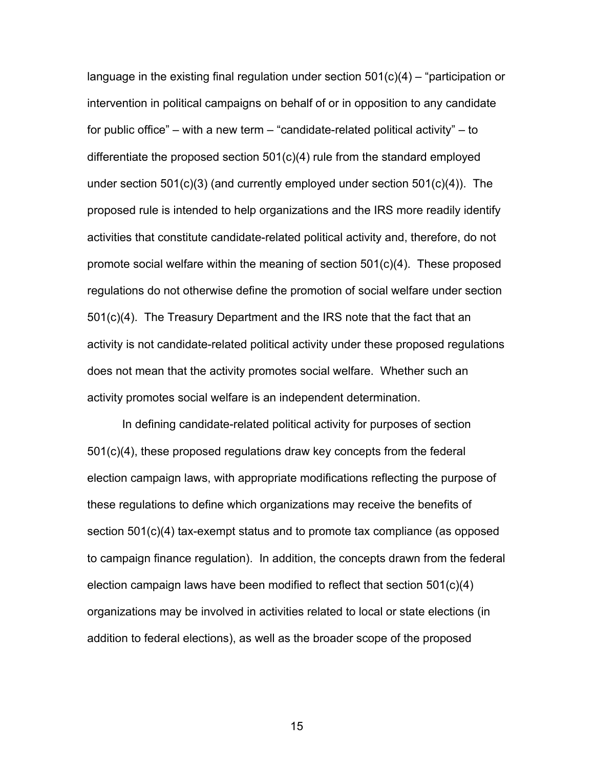language in the existing final regulation under section  $501(c)(4)$  – "participation or intervention in political campaigns on behalf of or in opposition to any candidate for public office" – with a new term – "candidate-related political activity" – to differentiate the proposed section 501(c)(4) rule from the standard employed under section 501(c)(3) (and currently employed under section 501(c)(4)). The proposed rule is intended to help organizations and the IRS more readily identify activities that constitute candidate-related political activity and, therefore, do not promote social welfare within the meaning of section 501(c)(4). These proposed regulations do not otherwise define the promotion of social welfare under section 501(c)(4). The Treasury Department and the IRS note that the fact that an activity is not candidate-related political activity under these proposed regulations does not mean that the activity promotes social welfare. Whether such an activity promotes social welfare is an independent determination.

In defining candidate-related political activity for purposes of section 501(c)(4), these proposed regulations draw key concepts from the federal election campaign laws, with appropriate modifications reflecting the purpose of these regulations to define which organizations may receive the benefits of section 501(c)(4) tax-exempt status and to promote tax compliance (as opposed to campaign finance regulation). In addition, the concepts drawn from the federal election campaign laws have been modified to reflect that section 501(c)(4) organizations may be involved in activities related to local or state elections (in addition to federal elections), as well as the broader scope of the proposed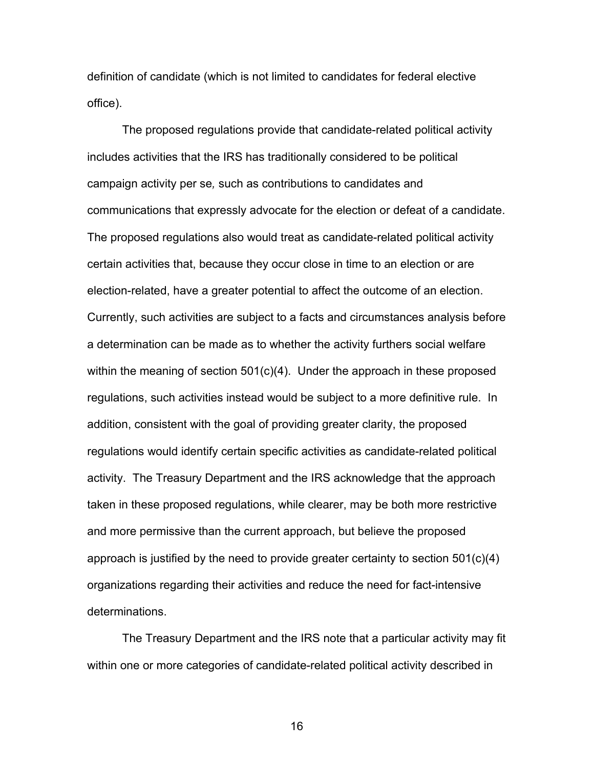definition of candidate (which is not limited to candidates for federal elective office).

The proposed regulations provide that candidate-related political activity includes activities that the IRS has traditionally considered to be political campaign activity per se*,* such as contributions to candidates and communications that expressly advocate for the election or defeat of a candidate. The proposed regulations also would treat as candidate-related political activity certain activities that, because they occur close in time to an election or are election-related, have a greater potential to affect the outcome of an election. Currently, such activities are subject to a facts and circumstances analysis before a determination can be made as to whether the activity furthers social welfare within the meaning of section 501(c)(4). Under the approach in these proposed regulations, such activities instead would be subject to a more definitive rule. In addition, consistent with the goal of providing greater clarity, the proposed regulations would identify certain specific activities as candidate-related political activity. The Treasury Department and the IRS acknowledge that the approach taken in these proposed regulations, while clearer, may be both more restrictive and more permissive than the current approach, but believe the proposed approach is justified by the need to provide greater certainty to section  $501(c)(4)$ organizations regarding their activities and reduce the need for fact-intensive determinations.

The Treasury Department and the IRS note that a particular activity may fit within one or more categories of candidate-related political activity described in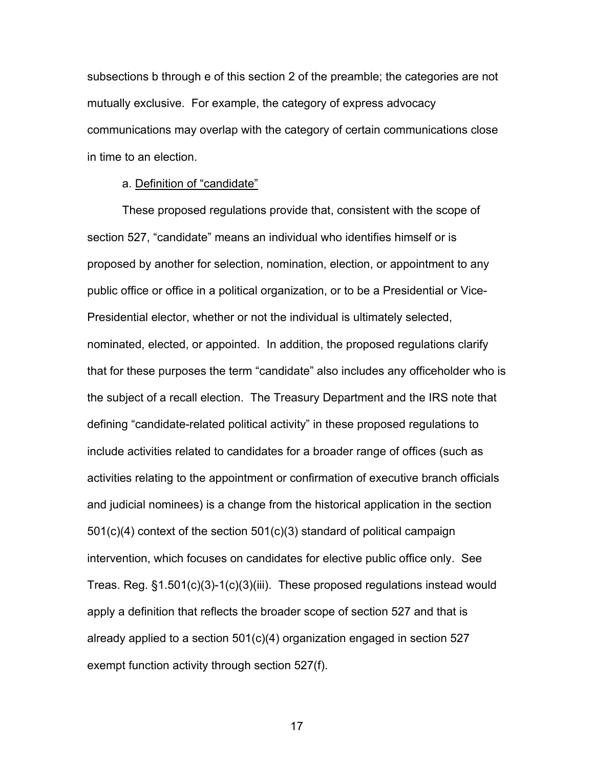subsections b through e of this section 2 of the preamble; the categories are not mutually exclusive. For example, the category of express advocacy communications may overlap with the category of certain communications close in time to an election.

### a. Definition of "candidate"

These proposed regulations provide that, consistent with the scope of section 527, "candidate" means an individual who identifies himself or is proposed by another for selection, nomination, election, or appointment to any public office or office in a political organization, or to be a Presidential or Vice-Presidential elector, whether or not the individual is ultimately selected, nominated, elected, or appointed. In addition, the proposed regulations clarify that for these purposes the term "candidate" also includes any officeholder who is the subject of a recall election. The Treasury Department and the IRS note that defining "candidate-related political activity" in these proposed regulations to include activities related to candidates for a broader range of offices (such as activities relating to the appointment or confirmation of executive branch officials and judicial nominees) is a change from the historical application in the section 501(c)(4) context of the section 501(c)(3) standard of political campaign intervention, which focuses on candidates for elective public office only. See Treas. Reg. §1.501(c)(3)-1(c)(3)(iii). These proposed regulations instead would apply a definition that reflects the broader scope of section 527 and that is already applied to a section 501(c)(4) organization engaged in section 527 exempt function activity through section 527(f).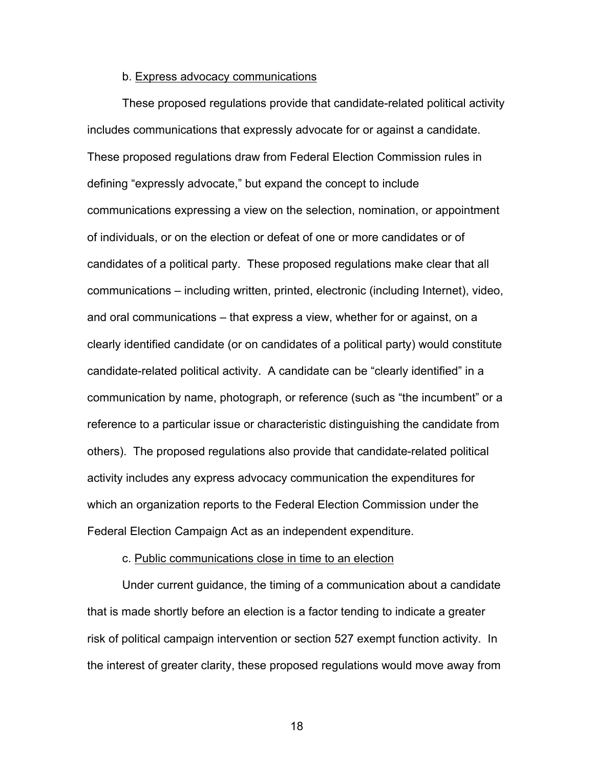#### b. Express advocacy communications

These proposed regulations provide that candidate-related political activity includes communications that expressly advocate for or against a candidate. These proposed regulations draw from Federal Election Commission rules in defining "expressly advocate," but expand the concept to include communications expressing a view on the selection, nomination, or appointment of individuals, or on the election or defeat of one or more candidates or of candidates of a political party. These proposed regulations make clear that all communications – including written, printed, electronic (including Internet), video, and oral communications – that express a view, whether for or against, on a clearly identified candidate (or on candidates of a political party) would constitute candidate-related political activity. A candidate can be "clearly identified" in a communication by name, photograph, or reference (such as "the incumbent" or a reference to a particular issue or characteristic distinguishing the candidate from others). The proposed regulations also provide that candidate-related political activity includes any express advocacy communication the expenditures for which an organization reports to the Federal Election Commission under the Federal Election Campaign Act as an independent expenditure.

#### c. Public communications close in time to an election

Under current guidance, the timing of a communication about a candidate that is made shortly before an election is a factor tending to indicate a greater risk of political campaign intervention or section 527 exempt function activity. In the interest of greater clarity, these proposed regulations would move away from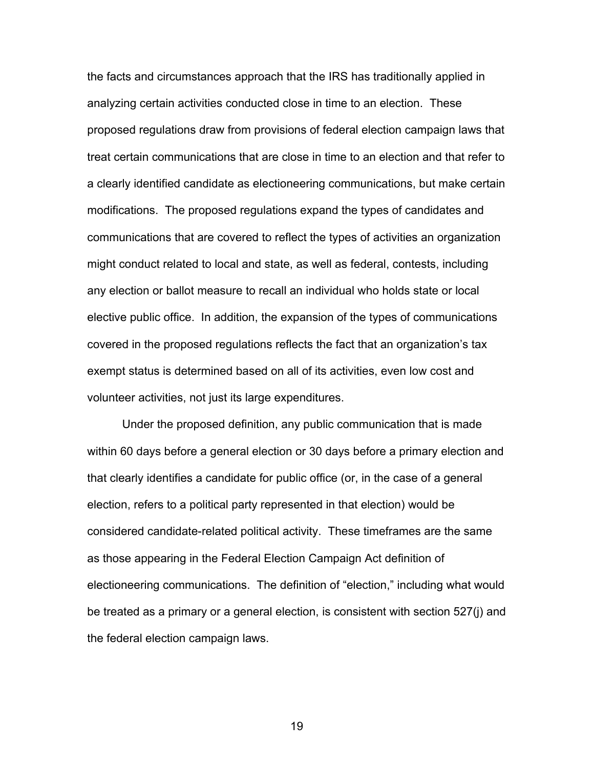the facts and circumstances approach that the IRS has traditionally applied in analyzing certain activities conducted close in time to an election. These proposed regulations draw from provisions of federal election campaign laws that treat certain communications that are close in time to an election and that refer to a clearly identified candidate as electioneering communications, but make certain modifications. The proposed regulations expand the types of candidates and communications that are covered to reflect the types of activities an organization might conduct related to local and state, as well as federal, contests, including any election or ballot measure to recall an individual who holds state or local elective public office. In addition, the expansion of the types of communications covered in the proposed regulations reflects the fact that an organization's tax exempt status is determined based on all of its activities, even low cost and volunteer activities, not just its large expenditures.

Under the proposed definition, any public communication that is made within 60 days before a general election or 30 days before a primary election and that clearly identifies a candidate for public office (or, in the case of a general election, refers to a political party represented in that election) would be considered candidate-related political activity. These timeframes are the same as those appearing in the Federal Election Campaign Act definition of electioneering communications. The definition of "election," including what would be treated as a primary or a general election, is consistent with section 527(j) and the federal election campaign laws.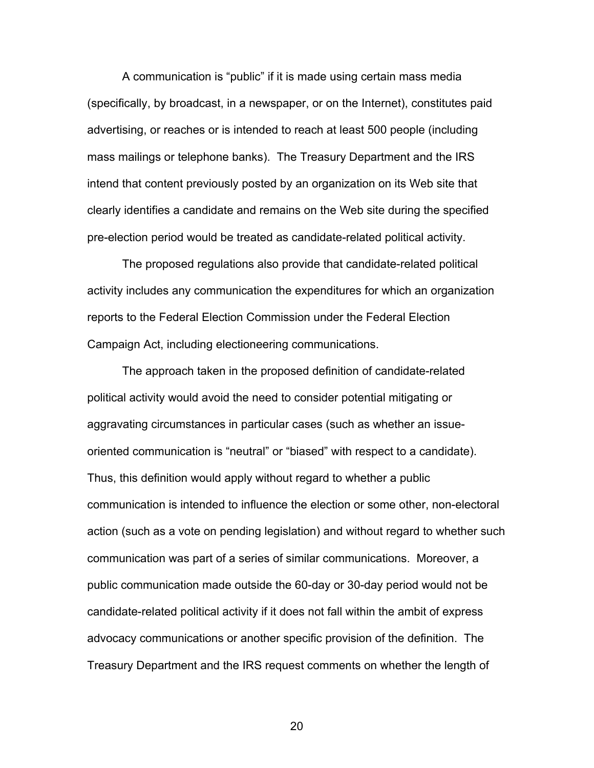A communication is "public" if it is made using certain mass media (specifically, by broadcast, in a newspaper, or on the Internet), constitutes paid advertising, or reaches or is intended to reach at least 500 people (including mass mailings or telephone banks). The Treasury Department and the IRS intend that content previously posted by an organization on its Web site that clearly identifies a candidate and remains on the Web site during the specified pre-election period would be treated as candidate-related political activity.

The proposed regulations also provide that candidate-related political activity includes any communication the expenditures for which an organization reports to the Federal Election Commission under the Federal Election Campaign Act, including electioneering communications.

The approach taken in the proposed definition of candidate-related political activity would avoid the need to consider potential mitigating or aggravating circumstances in particular cases (such as whether an issueoriented communication is "neutral" or "biased" with respect to a candidate). Thus, this definition would apply without regard to whether a public communication is intended to influence the election or some other, non-electoral action (such as a vote on pending legislation) and without regard to whether such communication was part of a series of similar communications. Moreover, a public communication made outside the 60-day or 30-day period would not be candidate-related political activity if it does not fall within the ambit of express advocacy communications or another specific provision of the definition. The Treasury Department and the IRS request comments on whether the length of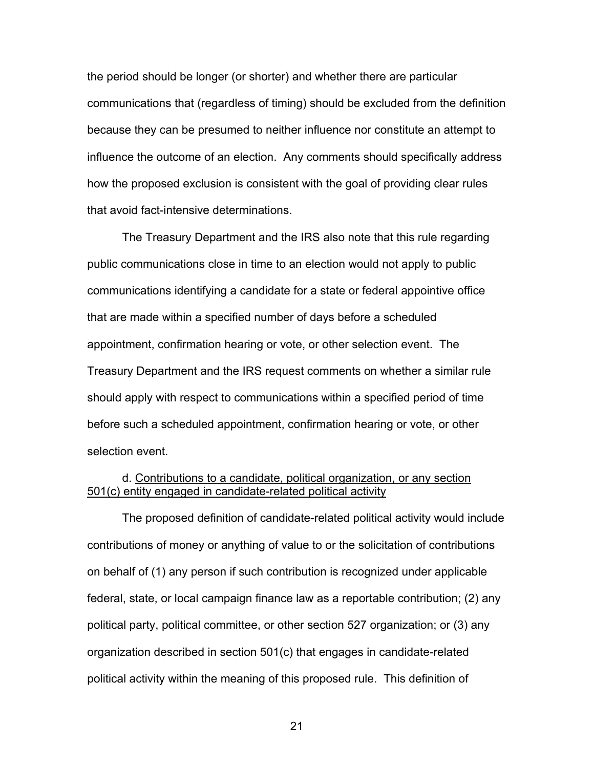the period should be longer (or shorter) and whether there are particular communications that (regardless of timing) should be excluded from the definition because they can be presumed to neither influence nor constitute an attempt to influence the outcome of an election. Any comments should specifically address how the proposed exclusion is consistent with the goal of providing clear rules that avoid fact-intensive determinations.

The Treasury Department and the IRS also note that this rule regarding public communications close in time to an election would not apply to public communications identifying a candidate for a state or federal appointive office that are made within a specified number of days before a scheduled appointment, confirmation hearing or vote, or other selection event. The Treasury Department and the IRS request comments on whether a similar rule should apply with respect to communications within a specified period of time before such a scheduled appointment, confirmation hearing or vote, or other selection event.

## d. Contributions to a candidate, political organization, or any section 501(c) entity engaged in candidate-related political activity

The proposed definition of candidate-related political activity would include contributions of money or anything of value to or the solicitation of contributions on behalf of (1) any person if such contribution is recognized under applicable federal, state, or local campaign finance law as a reportable contribution; (2) any political party, political committee, or other section 527 organization; or (3) any organization described in section 501(c) that engages in candidate-related political activity within the meaning of this proposed rule. This definition of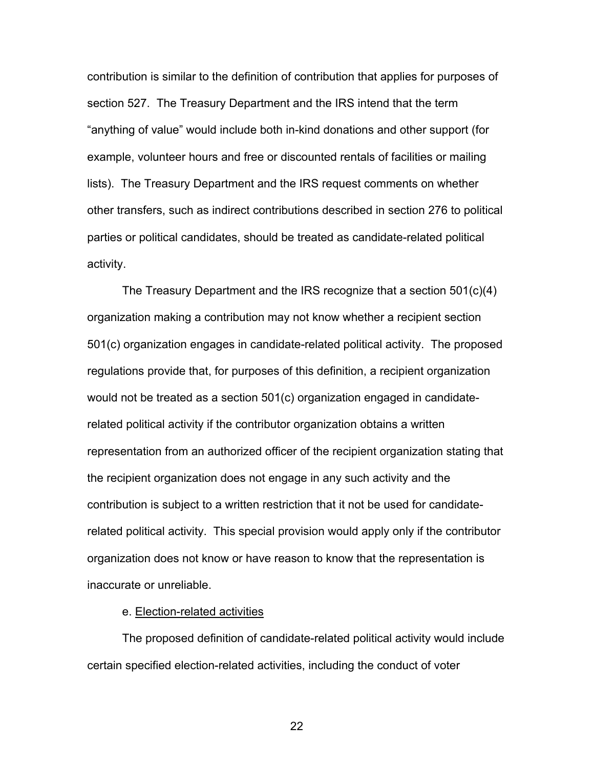contribution is similar to the definition of contribution that applies for purposes of section 527. The Treasury Department and the IRS intend that the term "anything of value" would include both in-kind donations and other support (for example, volunteer hours and free or discounted rentals of facilities or mailing lists). The Treasury Department and the IRS request comments on whether other transfers, such as indirect contributions described in section 276 to political parties or political candidates, should be treated as candidate-related political activity.

The Treasury Department and the IRS recognize that a section 501(c)(4) organization making a contribution may not know whether a recipient section 501(c) organization engages in candidate-related political activity. The proposed regulations provide that, for purposes of this definition, a recipient organization would not be treated as a section 501(c) organization engaged in candidaterelated political activity if the contributor organization obtains a written representation from an authorized officer of the recipient organization stating that the recipient organization does not engage in any such activity and the contribution is subject to a written restriction that it not be used for candidaterelated political activity. This special provision would apply only if the contributor organization does not know or have reason to know that the representation is inaccurate or unreliable.

#### e. Election-related activities

The proposed definition of candidate-related political activity would include certain specified election-related activities, including the conduct of voter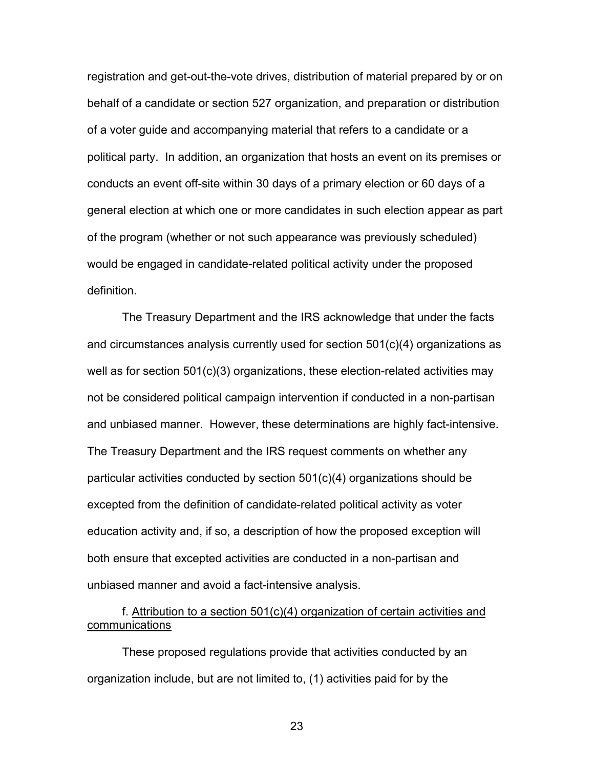registration and get-out-the-vote drives, distribution of material prepared by or on behalf of a candidate or section 527 organization, and preparation or distribution of a voter guide and accompanying material that refers to a candidate or a political party. In addition, an organization that hosts an event on its premises or conducts an event off-site within 30 days of a primary election or 60 days of a general election at which one or more candidates in such election appear as part of the program (whether or not such appearance was previously scheduled) would be engaged in candidate-related political activity under the proposed definition.

The Treasury Department and the IRS acknowledge that under the facts and circumstances analysis currently used for section 501(c)(4) organizations as well as for section 501(c)(3) organizations, these election-related activities may not be considered political campaign intervention if conducted in a non-partisan and unbiased manner. However, these determinations are highly fact-intensive. The Treasury Department and the IRS request comments on whether any particular activities conducted by section 501(c)(4) organizations should be excepted from the definition of candidate-related political activity as voter education activity and, if so, a description of how the proposed exception will both ensure that excepted activities are conducted in a non-partisan and unbiased manner and avoid a fact-intensive analysis.

## f. Attribution to a section 501(c)(4) organization of certain activities and communications

These proposed regulations provide that activities conducted by an organization include, but are not limited to, (1) activities paid for by the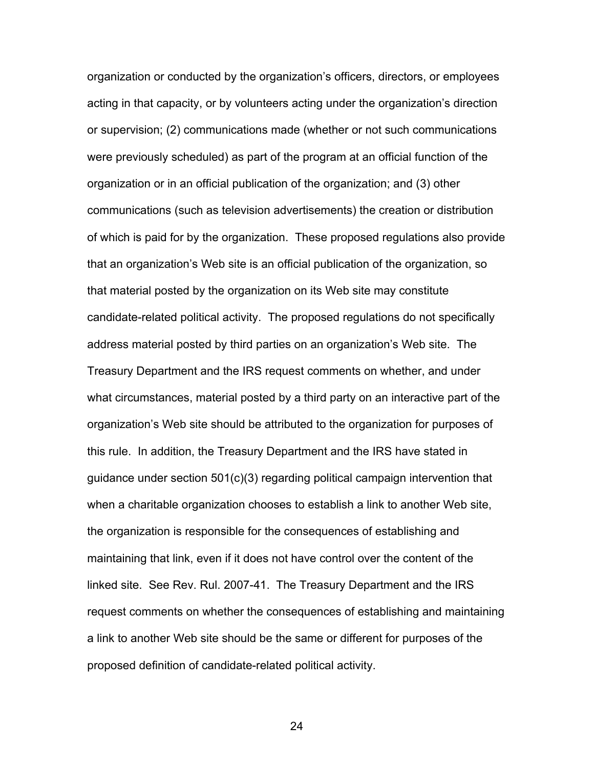organization or conducted by the organization's officers, directors, or employees acting in that capacity, or by volunteers acting under the organization's direction or supervision; (2) communications made (whether or not such communications were previously scheduled) as part of the program at an official function of the organization or in an official publication of the organization; and (3) other communications (such as television advertisements) the creation or distribution of which is paid for by the organization. These proposed regulations also provide that an organization's Web site is an official publication of the organization, so that material posted by the organization on its Web site may constitute candidate-related political activity. The proposed regulations do not specifically address material posted by third parties on an organization's Web site. The Treasury Department and the IRS request comments on whether, and under what circumstances, material posted by a third party on an interactive part of the organization's Web site should be attributed to the organization for purposes of this rule. In addition, the Treasury Department and the IRS have stated in guidance under section 501(c)(3) regarding political campaign intervention that when a charitable organization chooses to establish a link to another Web site, the organization is responsible for the consequences of establishing and maintaining that link, even if it does not have control over the content of the linked site. See Rev. Rul. 2007-41. The Treasury Department and the IRS request comments on whether the consequences of establishing and maintaining a link to another Web site should be the same or different for purposes of the proposed definition of candidate-related political activity.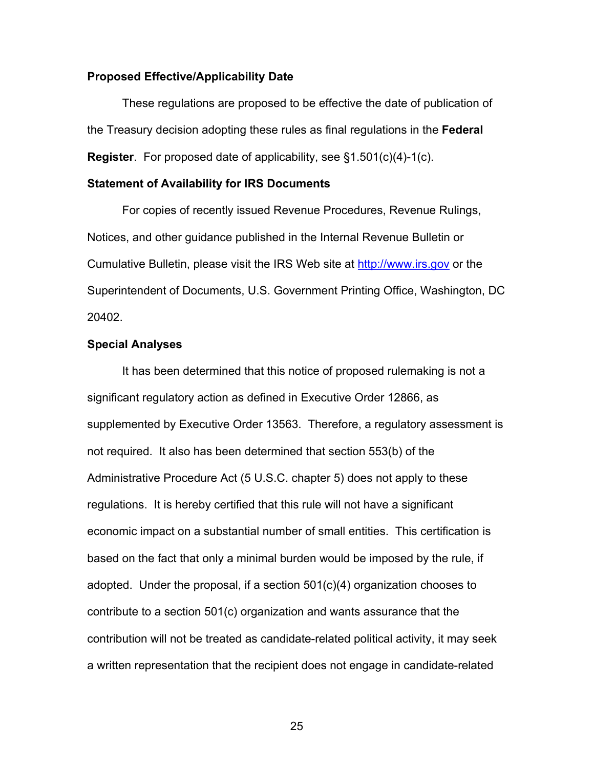#### **Proposed Effective/Applicability Date**

 These regulations are proposed to be effective the date of publication of the Treasury decision adopting these rules as final regulations in the **Federal Register**. For proposed date of applicability, see §1.501(c)(4)-1(c).

#### **Statement of Availability for IRS Documents**

 For copies of recently issued Revenue Procedures, Revenue Rulings, Notices, and other guidance published in the Internal Revenue Bulletin or Cumulative Bulletin, please visit the IRS Web site at http://www.irs.gov or the Superintendent of Documents, U.S. Government Printing Office, Washington, DC 20402.

#### **Special Analyses**

It has been determined that this notice of proposed rulemaking is not a significant regulatory action as defined in Executive Order 12866, as supplemented by Executive Order 13563. Therefore, a regulatory assessment is not required. It also has been determined that section 553(b) of the Administrative Procedure Act (5 U.S.C. chapter 5) does not apply to these regulations. It is hereby certified that this rule will not have a significant economic impact on a substantial number of small entities. This certification is based on the fact that only a minimal burden would be imposed by the rule, if adopted. Under the proposal, if a section 501(c)(4) organization chooses to contribute to a section 501(c) organization and wants assurance that the contribution will not be treated as candidate-related political activity, it may seek a written representation that the recipient does not engage in candidate-related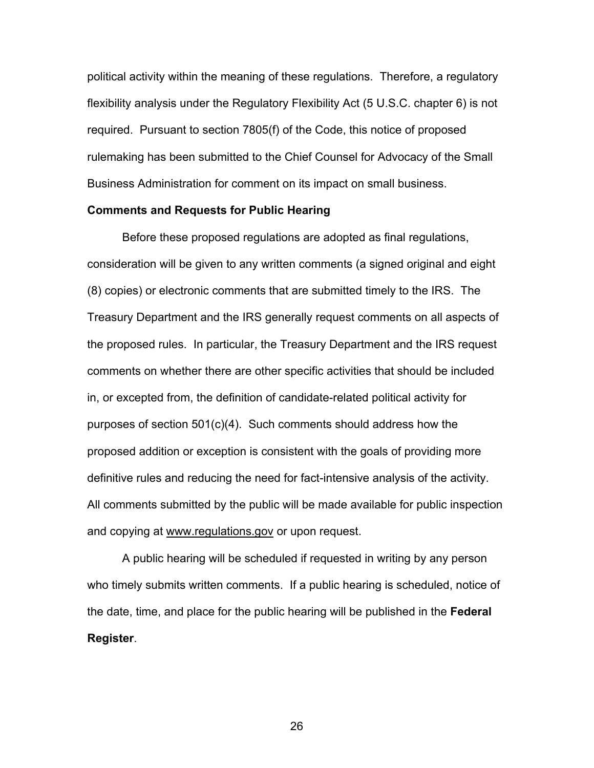political activity within the meaning of these regulations. Therefore, a regulatory flexibility analysis under the Regulatory Flexibility Act (5 U.S.C. chapter 6) is not required. Pursuant to section 7805(f) of the Code, this notice of proposed rulemaking has been submitted to the Chief Counsel for Advocacy of the Small Business Administration for comment on its impact on small business.

#### **Comments and Requests for Public Hearing**

 Before these proposed regulations are adopted as final regulations, consideration will be given to any written comments (a signed original and eight (8) copies) or electronic comments that are submitted timely to the IRS. The Treasury Department and the IRS generally request comments on all aspects of the proposed rules. In particular, the Treasury Department and the IRS request comments on whether there are other specific activities that should be included in, or excepted from, the definition of candidate-related political activity for purposes of section 501(c)(4). Such comments should address how the proposed addition or exception is consistent with the goals of providing more definitive rules and reducing the need for fact-intensive analysis of the activity. All comments submitted by the public will be made available for public inspection and copying at www.regulations.gov or upon request.

A public hearing will be scheduled if requested in writing by any person who timely submits written comments. If a public hearing is scheduled, notice of the date, time, and place for the public hearing will be published in the **Federal Register**.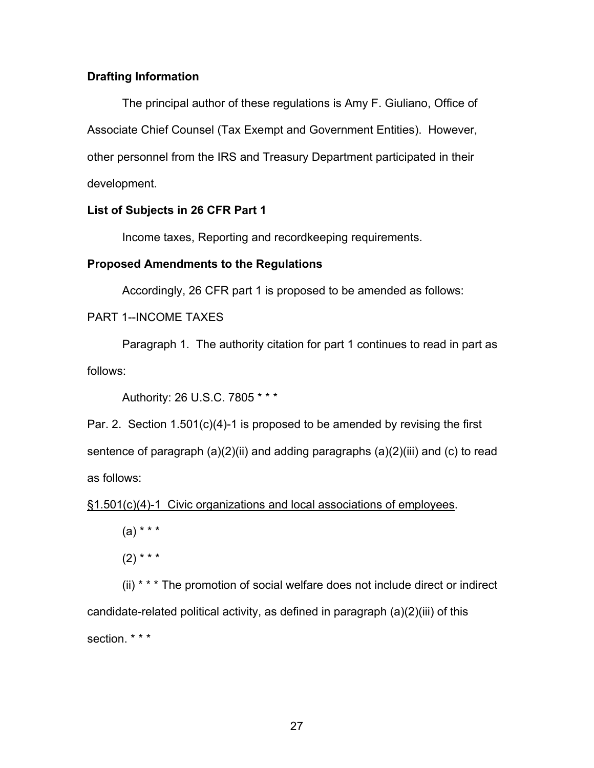## **Drafting Information**

The principal author of these regulations is Amy F. Giuliano, Office of Associate Chief Counsel (Tax Exempt and Government Entities). However, other personnel from the IRS and Treasury Department participated in their development.

### **List of Subjects in 26 CFR Part 1**

Income taxes, Reporting and recordkeeping requirements.

### **Proposed Amendments to the Regulations**

Accordingly, 26 CFR part 1 is proposed to be amended as follows:

PART 1--INCOME TAXES

Paragraph 1. The authority citation for part 1 continues to read in part as follows:

Authority: 26 U.S.C. 7805 \* \* \*

Par. 2. Section 1.501(c)(4)-1 is proposed to be amended by revising the first sentence of paragraph (a)(2)(ii) and adding paragraphs (a)(2)(iii) and (c) to read as follows:

§1.501(c)(4)-1 Civic organizations and local associations of employees.

 $(a) * * * *$ 

 $(2)$  \* \* \*

 (ii) \* \* \* The promotion of social welfare does not include direct or indirect candidate-related political activity, as defined in paragraph (a)(2)(iii) of this section. \* \* \*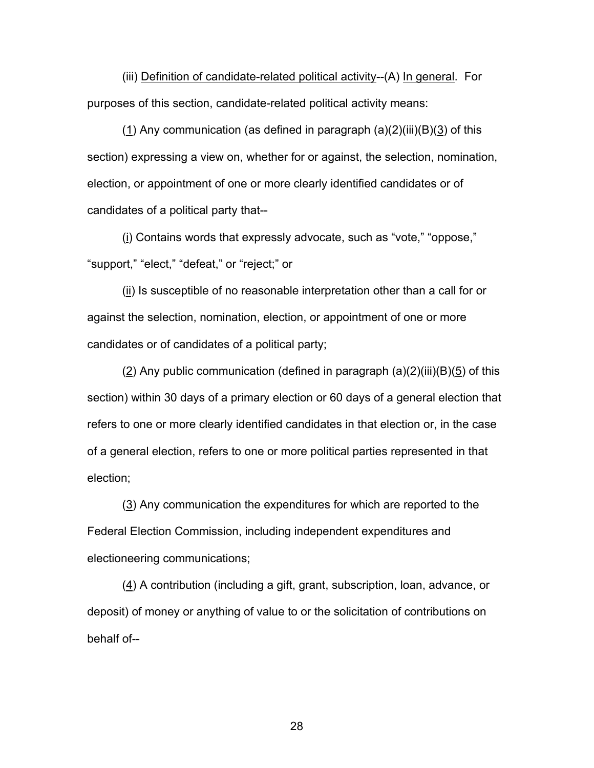(iii) Definition of candidate-related political activity--(A) In general. For purposes of this section, candidate-related political activity means:

(1) Any communication (as defined in paragraph  $(a)(2)(iii)(B)(3)$  of this section) expressing a view on, whether for or against, the selection, nomination, election, or appointment of one or more clearly identified candidates or of candidates of a political party that--

(i) Contains words that expressly advocate, such as "vote," "oppose," "support," "elect," "defeat," or "reject;" or

(ii) Is susceptible of no reasonable interpretation other than a call for or against the selection, nomination, election, or appointment of one or more candidates or of candidates of a political party;

(2) Any public communication (defined in paragraph  $(a)(2)(iii)(B)(5)$  of this section) within 30 days of a primary election or 60 days of a general election that refers to one or more clearly identified candidates in that election or, in the case of a general election, refers to one or more political parties represented in that election;

 (3) Any communication the expenditures for which are reported to the Federal Election Commission, including independent expenditures and electioneering communications;

(4) A contribution (including a gift, grant, subscription, loan, advance, or deposit) of money or anything of value to or the solicitation of contributions on behalf of--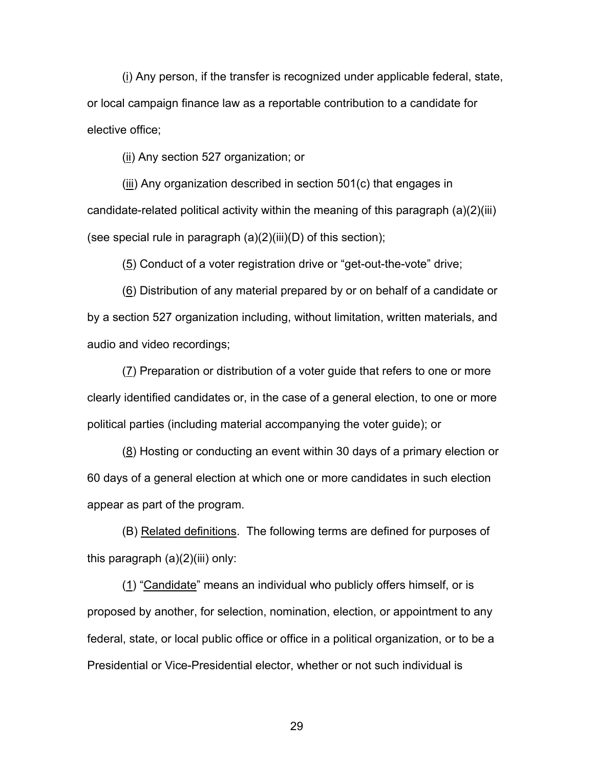(i) Any person, if the transfer is recognized under applicable federal, state, or local campaign finance law as a reportable contribution to a candidate for elective office;

(ii) Any section 527 organization; or

(iii) Any organization described in section 501(c) that engages in candidate-related political activity within the meaning of this paragraph (a)(2)(iii) (see special rule in paragraph  $(a)(2)(iii)(D)$  of this section);

(5) Conduct of a voter registration drive or "get-out-the-vote" drive;

(6) Distribution of any material prepared by or on behalf of a candidate or by a section 527 organization including, without limitation, written materials, and audio and video recordings;

(7) Preparation or distribution of a voter guide that refers to one or more clearly identified candidates or, in the case of a general election, to one or more political parties (including material accompanying the voter guide); or

(8) Hosting or conducting an event within 30 days of a primary election or 60 days of a general election at which one or more candidates in such election appear as part of the program.

(B) Related definitions. The following terms are defined for purposes of this paragraph  $(a)(2)(iii)$  only:

(1) "Candidate" means an individual who publicly offers himself, or is proposed by another, for selection, nomination, election, or appointment to any federal, state, or local public office or office in a political organization, or to be a Presidential or Vice-Presidential elector, whether or not such individual is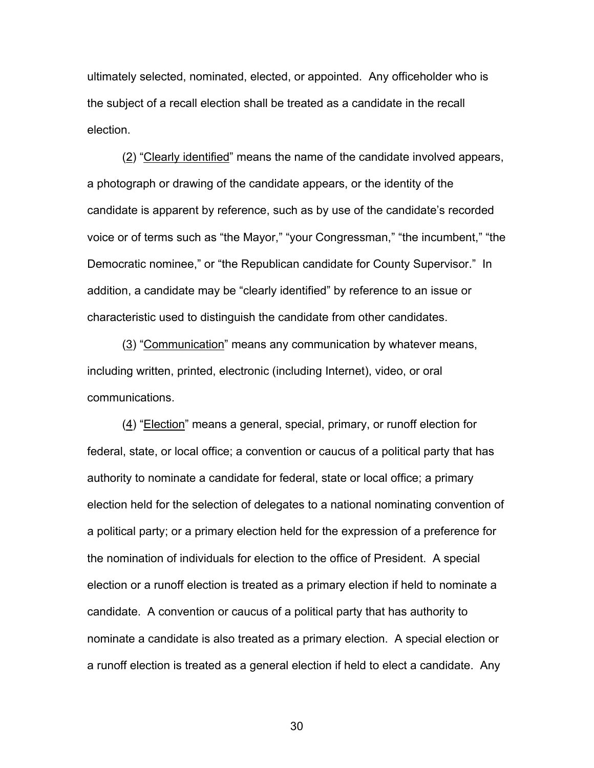ultimately selected, nominated, elected, or appointed. Any officeholder who is the subject of a recall election shall be treated as a candidate in the recall election.

(2) "Clearly identified" means the name of the candidate involved appears, a photograph or drawing of the candidate appears, or the identity of the candidate is apparent by reference, such as by use of the candidate's recorded voice or of terms such as "the Mayor," "your Congressman," "the incumbent," "the Democratic nominee," or "the Republican candidate for County Supervisor." In addition, a candidate may be "clearly identified" by reference to an issue or characteristic used to distinguish the candidate from other candidates.

(3) "Communication" means any communication by whatever means, including written, printed, electronic (including Internet), video, or oral communications.

(4) "Election" means a general, special, primary, or runoff election for federal, state, or local office; a convention or caucus of a political party that has authority to nominate a candidate for federal, state or local office; a primary election held for the selection of delegates to a national nominating convention of a political party; or a primary election held for the expression of a preference for the nomination of individuals for election to the office of President. A special election or a runoff election is treated as a primary election if held to nominate a candidate. A convention or caucus of a political party that has authority to nominate a candidate is also treated as a primary election. A special election or a runoff election is treated as a general election if held to elect a candidate. Any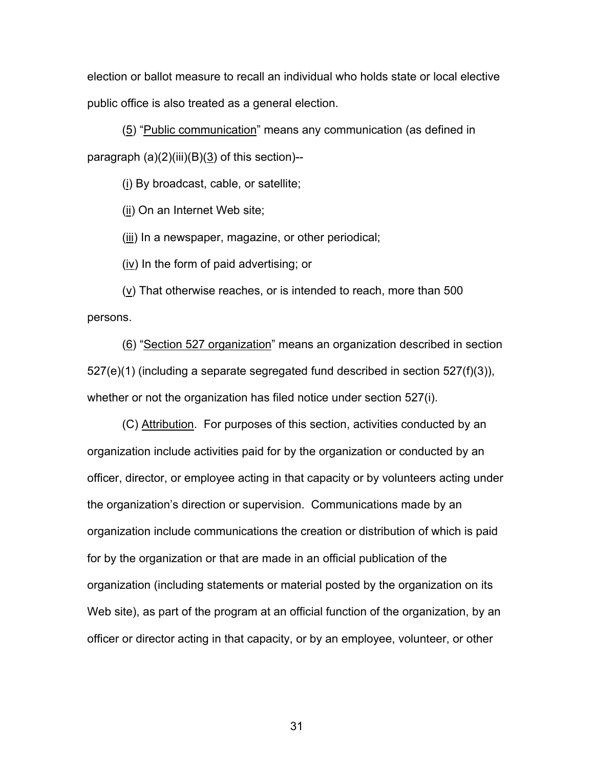election or ballot measure to recall an individual who holds state or local elective public office is also treated as a general election.

(5) "Public communication" means any communication (as defined in paragraph  $(a)(2)(iii)(B)(3)$  of this section)--

(i) By broadcast, cable, or satellite;

(ii) On an Internet Web site;

(iii) In a newspaper, magazine, or other periodical;

(iv) In the form of paid advertising; or

 $(v)$  That otherwise reaches, or is intended to reach, more than 500 persons.

(6) "Section 527 organization" means an organization described in section  $527(e)(1)$  (including a separate segregated fund described in section  $527(f)(3)$ ), whether or not the organization has filed notice under section 527(i).

(C) Attribution. For purposes of this section, activities conducted by an organization include activities paid for by the organization or conducted by an officer, director, or employee acting in that capacity or by volunteers acting under the organization's direction or supervision. Communications made by an organization include communications the creation or distribution of which is paid for by the organization or that are made in an official publication of the organization (including statements or material posted by the organization on its Web site), as part of the program at an official function of the organization, by an officer or director acting in that capacity, or by an employee, volunteer, or other